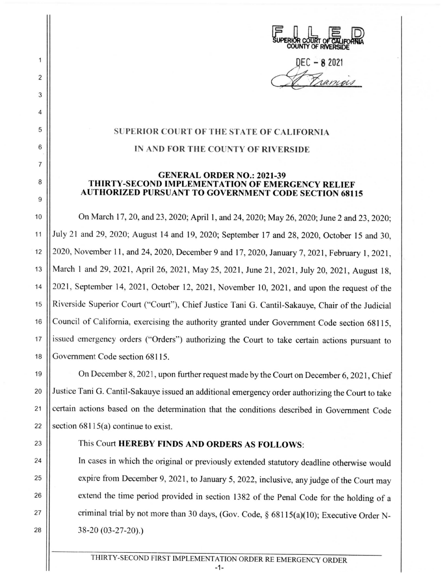ERIJ | ERIJ<br>SUPERIOR COURT OF CALIFORNIA **COUNTY Of RIVERSIDE** 

SEC - 8 2021<br>A Pramois

## **SUPERIOR COURT OF THE STATE OF CALIFORNIA**

2

1

3

4

5

6

7

8

9

## **IN AND FOR THE COUNTY OF RIVERSIDE**

## **GENERAL ORDER NO.: 2021-39 THIRTY-SECOND IMPLEMENTATION OF EMERGENCY RELIEF AUTHORIZED PURSUANT TO GOVERNMENT CODE SECTION 68115**

10 On March 17, 20, and 23, 2020; April 1, and 24, 2020; May 26, 2020; June 2 and 23, 2020; 11 July 21 and 29, 2020; August 14 and 19, 2020; September 17 and 28, 2020, October 15 and 30, 12 | 2020, November 11, and 24, 2020, December 9 and 17, 2020, January 7, 2021, February 1, 2021, 13 || March 1 and 29, 2021, April 26, 2021, May 25, 2021, June 21, 2021, July 20, 2021, August 18, 14 | 2021, September 14, 2021, October 12, 2021, November 10, 2021, and upon the request of the 15 || Riverside Superior Court ("Court"), Chief Justice Tani G. Cantil-Sakauye, Chair of the Judicial 16 Council of California, exercising the authority granted under Government Code section 68115, 17 issued emergency orders ("Orders") authorizing the Court to take certain actions pursuant to 18 Government Code section 68115.

19 On December 8, 202 1, upon further request made by the Court on December 6, 2021 , Chief 20 Justice Tani G. Cantil-Sakauye issued an additional emergency order authorizing the Court to take 21 | certain actions based on the determination that the conditions described in Government Code 22  $\vert$  section 68115(a) continue to exist.

## 23 | This Court **HEREBY FINDS AND ORDERS AS FOLLOWS:**

24 In cases in which the original or previously extended statutory deadline otherwise would 25 | expire from December 9, 2021, to January 5, 2022, inclusive, any judge of the Court may 26 | extend the time period provided in section 1382 of the Penal Code for the holding of a 27 | criminal trial by not more than 30 days, (Gov. Code, § 68115(a)(10); Executive Order N-28 38-20 (03-27-20).)